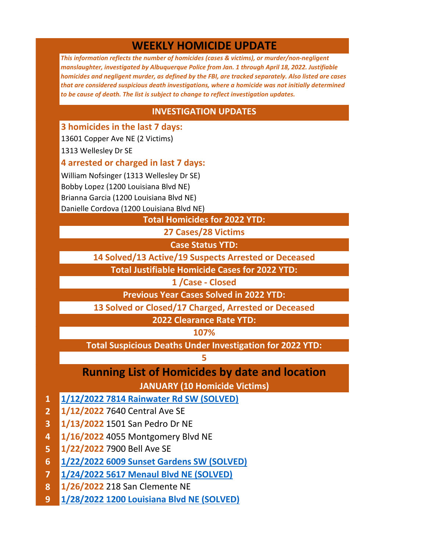## **WEEKLY HOMICIDE UPDATE**

*This information reflects the number of homicides (cases & victims), or murder/non-negligent manslaughter, investigated by Albuquerque Police from Jan. 1 through April 18, 2022. Justifiable homicides and negligent murder, as defined by the FBI, are tracked separately. Also listed are cases that are considered suspicious death investigations, where a homicide was not initially determined to be cause of death. The list is subject to change to reflect investigation updates.*

## **INVESTIGATION UPDATES**

**3 homicides in the last 7 days:** 

13601 Copper Ave NE (2 Victims)

1313 Wellesley Dr SE

**4 arrested or charged in last 7 days:** 

William Nofsinger (1313 Wellesley Dr SE) Bobby Lopez (1200 Louisiana Blvd NE) Brianna Garcia (1200 Louisiana Blvd NE) Danielle Cordova (1200 Louisiana Blvd NE)

**Total Homicides for 2022 YTD:**

**27 Cases/28 Victims**

**Case Status YTD:**

**14 Solved/13 Active/19 Suspects Arrested or Deceased**

**Total Justifiable Homicide Cases for 2022 YTD:**

**1 /Case - Closed**

**Previous Year Cases Solved in 2022 YTD:**

**13 Solved or Closed/17 Charged, Arrested or Deceased**

**2022 Clearance Rate YTD:**

**107%**

**Total Suspicious Deaths Under Investigation for 2022 YTD:**

**5**

## **Running List of Homicides by date and location**

**JANUARY (10 Homicide Victims)**

- **1 [1/12/2022 7814 Rainwater Rd SW \(SOLVED\)](https://www.cabq.gov/police/news/apd-arrests-murder-suspect-following-crime-stoppers-tips)**
- **2 1/12/2022** 7640 Central Ave SE
- **3 1/13/2022** 1501 San Pedro Dr NE
- **4 1/16/2022** 4055 Montgomery Blvd NE
- **5 1/22/2022** 7900 Bell Ave SE
- **6 [1/22/2022 6009 Sunset Gardens SW \(SOLVED\)](https://www.cabq.gov/police/news/suspect-arrested-for-weekend-homicide-along-sunset-gardens)**
- **7 [1/24/2022 5617 Menaul Blvd NE \(SOLVED\)](https://www.cabq.gov/police/news/apd-arrests-second-suspect-for-homicide-of-sihui-fang-at-massage-parlor)**
- **8 1/26/2022** 218 San Clemente NE
- **9 [1/28/2022 1200 Louisiana Blvd NE \(SOLVED\)](https://www.cabq.gov/police/news/apd-charges-gang-member-two-others-for-january-murder)**